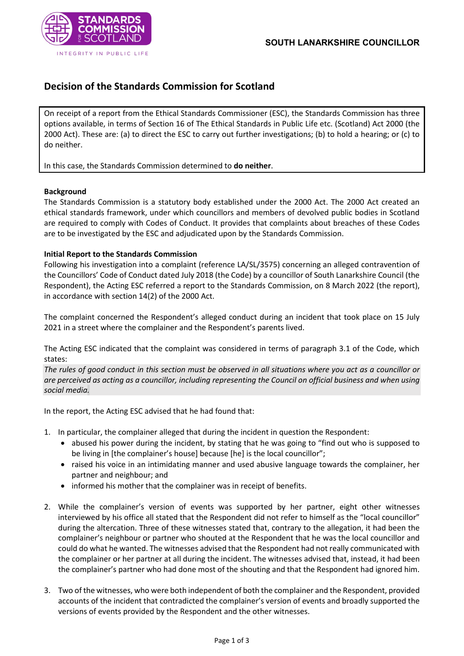

## **Decision of the Standards Commission for Scotland**

On receipt of a report from the Ethical Standards Commissioner (ESC), the Standards Commission has three options available, in terms of Section 16 of The Ethical Standards in Public Life etc. (Scotland) Act 2000 (the 2000 Act). These are: (a) to direct the ESC to carry out further investigations; (b) to hold a hearing; or (c) to do neither.

In this case, the Standards Commission determined to **do neither**.

## **Background**

The Standards Commission is a statutory body established under the 2000 Act. The 2000 Act created an ethical standards framework, under which councillors and members of devolved public bodies in Scotland are required to comply with Codes of Conduct. It provides that complaints about breaches of these Codes are to be investigated by the ESC and adjudicated upon by the Standards Commission.

## **Initial Report to the Standards Commission**

Following his investigation into a complaint (reference LA/SL/3575) concerning an alleged contravention of the Councillors' Code of Conduct dated July 2018 (the Code) by a councillor of South Lanarkshire Council (the Respondent), the Acting ESC referred a report to the Standards Commission, on 8 March 2022 (the report), in accordance with section 14(2) of the 2000 Act.

The complaint concerned the Respondent's alleged conduct during an incident that took place on 15 July 2021 in a street where the complainer and the Respondent's parents lived.

The Acting ESC indicated that the complaint was considered in terms of paragraph 3.1 of the Code, which states:

*The rules of good conduct in this section must be observed in all situations where you act as a councillor or are perceived as acting as a councillor, including representing the Council on official business and when using social media.*

In the report, the Acting ESC advised that he had found that:

- 1. In particular, the complainer alleged that during the incident in question the Respondent:
	- abused his power during the incident, by stating that he was going to "find out who is supposed to be living in [the complainer's house] because [he] is the local councillor";
	- raised his voice in an intimidating manner and used abusive language towards the complainer, her partner and neighbour; and
	- informed his mother that the complainer was in receipt of benefits.
- 2. While the complainer's version of events was supported by her partner, eight other witnesses interviewed by his office all stated that the Respondent did not refer to himself as the "local councillor" during the altercation. Three of these witnesses stated that, contrary to the allegation, it had been the complainer's neighbour or partner who shouted at the Respondent that he was the local councillor and could do what he wanted. The witnesses advised that the Respondent had not really communicated with the complainer or her partner at all during the incident. The witnesses advised that, instead, it had been the complainer's partner who had done most of the shouting and that the Respondent had ignored him.
- 3. Two of the witnesses, who were both independent of both the complainer and the Respondent, provided accounts of the incident that contradicted the complainer's version of events and broadly supported the versions of events provided by the Respondent and the other witnesses.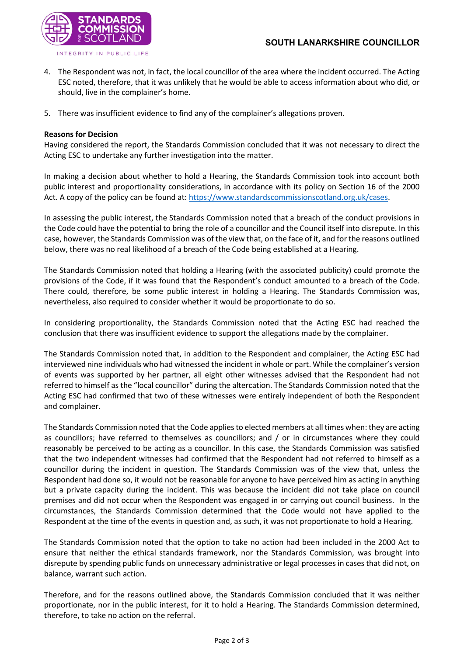

- 4. The Respondent was not, in fact, the local councillor of the area where the incident occurred. The Acting ESC noted, therefore, that it was unlikely that he would be able to access information about who did, or should, live in the complainer's home.
- 5. There was insufficient evidence to find any of the complainer's allegations proven.

## **Reasons for Decision**

Having considered the report, the Standards Commission concluded that it was not necessary to direct the Acting ESC to undertake any further investigation into the matter.

In making a decision about whether to hold a Hearing, the Standards Commission took into account both public interest and proportionality considerations, in accordance with its policy on Section 16 of the 2000 Act. A copy of the policy can be found at: [https://www.standardscommissionscotland.org.uk/cases.](https://www.standardscommissionscotland.org.uk/cases)

In assessing the public interest, the Standards Commission noted that a breach of the conduct provisions in the Code could have the potential to bring the role of a councillor and the Council itself into disrepute. In this case, however, the Standards Commission was of the view that, on the face of it, and for the reasons outlined below, there was no real likelihood of a breach of the Code being established at a Hearing.

The Standards Commission noted that holding a Hearing (with the associated publicity) could promote the provisions of the Code, if it was found that the Respondent's conduct amounted to a breach of the Code. There could, therefore, be some public interest in holding a Hearing. The Standards Commission was, nevertheless, also required to consider whether it would be proportionate to do so.

In considering proportionality, the Standards Commission noted that the Acting ESC had reached the conclusion that there was insufficient evidence to support the allegations made by the complainer.

The Standards Commission noted that, in addition to the Respondent and complainer, the Acting ESC had interviewed nine individuals who had witnessed the incident in whole or part. While the complainer's version of events was supported by her partner, all eight other witnesses advised that the Respondent had not referred to himself as the "local councillor" during the altercation. The Standards Commission noted that the Acting ESC had confirmed that two of these witnesses were entirely independent of both the Respondent and complainer.

The Standards Commission noted that the Code applies to elected members at all times when: they are acting as councillors; have referred to themselves as councillors; and / or in circumstances where they could reasonably be perceived to be acting as a councillor. In this case, the Standards Commission was satisfied that the two independent witnesses had confirmed that the Respondent had not referred to himself as a councillor during the incident in question. The Standards Commission was of the view that, unless the Respondent had done so, it would not be reasonable for anyone to have perceived him as acting in anything but a private capacity during the incident. This was because the incident did not take place on council premises and did not occur when the Respondent was engaged in or carrying out council business. In the circumstances, the Standards Commission determined that the Code would not have applied to the Respondent at the time of the events in question and, as such, it was not proportionate to hold a Hearing.

The Standards Commission noted that the option to take no action had been included in the 2000 Act to ensure that neither the ethical standards framework, nor the Standards Commission, was brought into disrepute by spending public funds on unnecessary administrative or legal processes in cases that did not, on balance, warrant such action.

Therefore, and for the reasons outlined above, the Standards Commission concluded that it was neither proportionate, nor in the public interest, for it to hold a Hearing. The Standards Commission determined, therefore, to take no action on the referral.